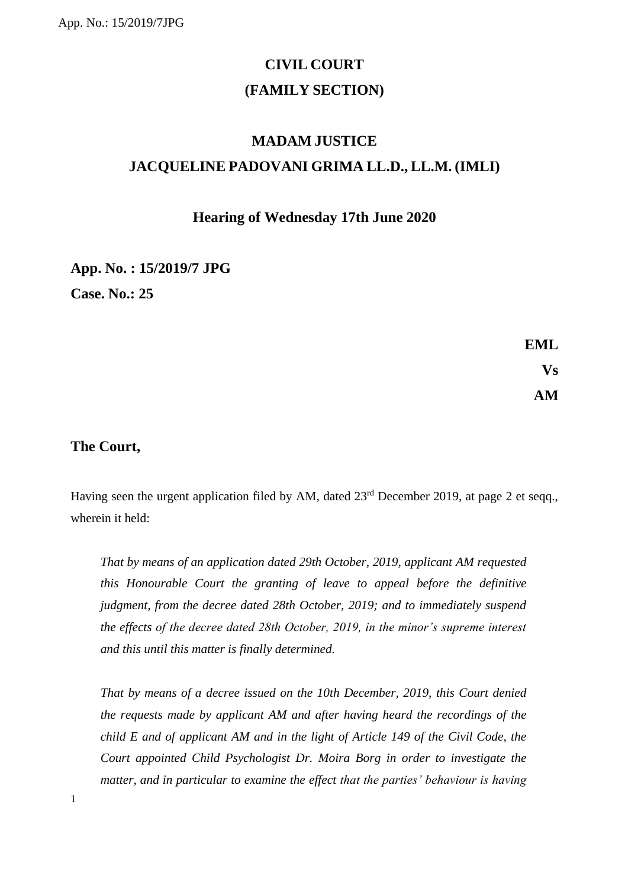# **CIVIL COURT (FAMILY SECTION)**

## **MADAM JUSTICE JACQUELINE PADOVANI GRIMA LL.D., LL.M. (IMLI)**

## **Hearing of Wednesday 17th June 2020**

## **App. No. : 15/2019/7 JPG Case. No.: 25**

**EML Vs AM**

## **The Court,**

1

Having seen the urgent application filed by AM, dated  $23<sup>rd</sup>$  December 2019, at page 2 et seqq., wherein it held:

*That by means of an application dated 29th October, 2019, applicant AM requested this Honourable Court the granting of leave to appeal before the definitive judgment, from the decree dated 28th October, 2019; and to immediately suspend the effects of the decree dated 28th October, 2019, in the minor's supreme interest and this until this matter is finally determined.* 

*That by means of a decree issued on the 10th December, 2019, this Court denied the requests made by applicant AM and after having heard the recordings of the child E and of applicant AM and in the light of Article 149 of the Civil Code, the Court appointed Child Psychologist Dr. Moira Borg in order to investigate the matter, and in particular to examine the effect that the parties' behaviour is having*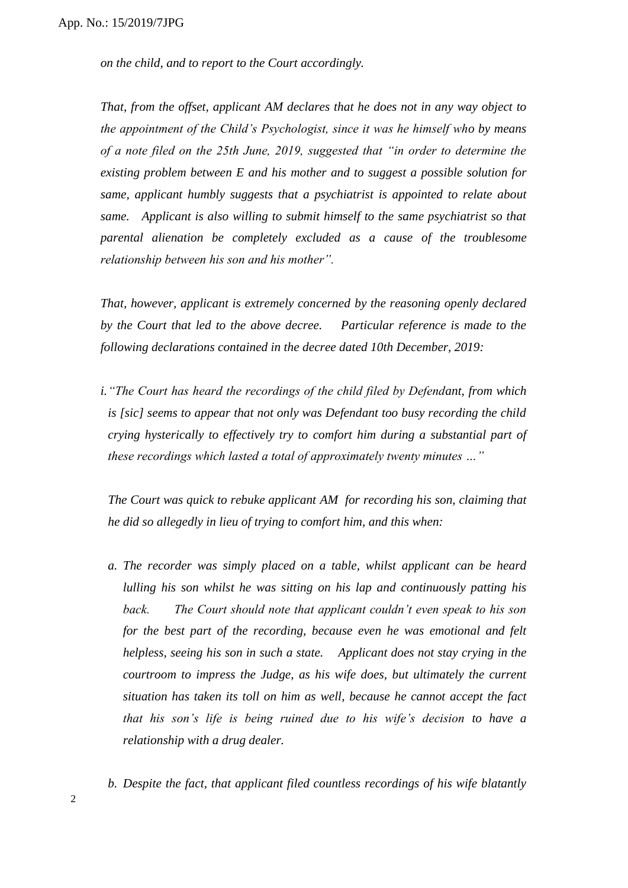*on the child, and to report to the Court accordingly.*

*That, from the offset, applicant AM declares that he does not in any way object to the appointment of the Child's Psychologist, since it was he himself who by means of a note filed on the 25th June, 2019, suggested that "in order to determine the existing problem between E and his mother and to suggest a possible solution for same, applicant humbly suggests that a psychiatrist is appointed to relate about same. Applicant is also willing to submit himself to the same psychiatrist so that parental alienation be completely excluded as a cause of the troublesome relationship between his son and his mother".* 

*That, however, applicant is extremely concerned by the reasoning openly declared by the Court that led to the above decree. Particular reference is made to the following declarations contained in the decree dated 10th December, 2019:*

*i."The Court has heard the recordings of the child filed by Defendant, from which is [sic] seems to appear that not only was Defendant too busy recording the child crying hysterically to effectively try to comfort him during a substantial part of these recordings which lasted a total of approximately twenty minutes …"* 

*The Court was quick to rebuke applicant AM for recording his son, claiming that he did so allegedly in lieu of trying to comfort him, and this when:*

- *a. The recorder was simply placed on a table, whilst applicant can be heard lulling his son whilst he was sitting on his lap and continuously patting his back. The Court should note that applicant couldn't even speak to his son for the best part of the recording, because even he was emotional and felt helpless, seeing his son in such a state. Applicant does not stay crying in the courtroom to impress the Judge, as his wife does, but ultimately the current situation has taken its toll on him as well, because he cannot accept the fact that his son's life is being ruined due to his wife's decision to have a relationship with a drug dealer.*
- *b. Despite the fact, that applicant filed countless recordings of his wife blatantly*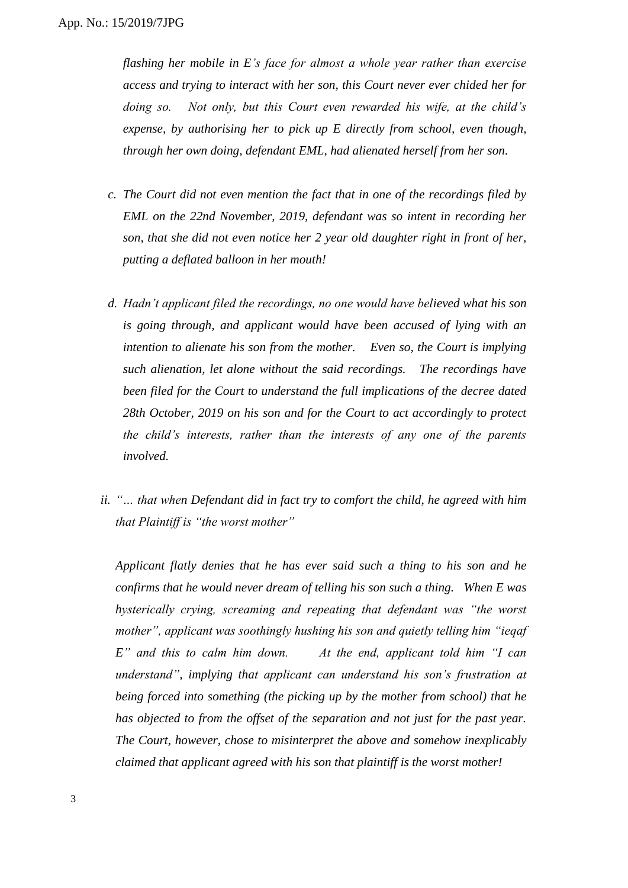*flashing her mobile in E's face for almost a whole year rather than exercise access and trying to interact with her son, this Court never ever chided her for doing so. Not only, but this Court even rewarded his wife, at the child's expense, by authorising her to pick up E directly from school, even though, through her own doing, defendant EML, had alienated herself from her son.*

- *c. The Court did not even mention the fact that in one of the recordings filed by EML on the 22nd November, 2019, defendant was so intent in recording her son, that she did not even notice her 2 year old daughter right in front of her, putting a deflated balloon in her mouth!*
- *d. Hadn't applicant filed the recordings, no one would have believed what his son is going through, and applicant would have been accused of lying with an intention to alienate his son from the mother. Even so, the Court is implying such alienation, let alone without the said recordings. The recordings have been filed for the Court to understand the full implications of the decree dated 28th October, 2019 on his son and for the Court to act accordingly to protect the child's interests, rather than the interests of any one of the parents involved.*
- *ii. "… that when Defendant did in fact try to comfort the child, he agreed with him that Plaintiff is "the worst mother"*

*Applicant flatly denies that he has ever said such a thing to his son and he confirms that he would never dream of telling his son such a thing. When E was hysterically crying, screaming and repeating that defendant was "the worst mother", applicant was soothingly hushing his son and quietly telling him "ieqaf E" and this to calm him down. At the end, applicant told him "I can understand", implying that applicant can understand his son's frustration at being forced into something (the picking up by the mother from school) that he has objected to from the offset of the separation and not just for the past year. The Court, however, chose to misinterpret the above and somehow inexplicably claimed that applicant agreed with his son that plaintiff is the worst mother!*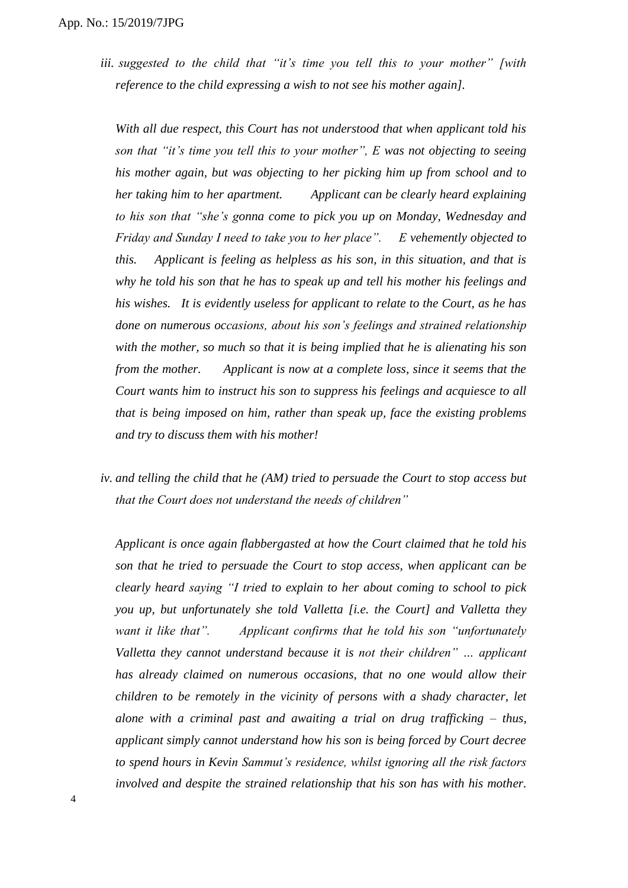*iii. suggested to the child that "it's time you tell this to your mother" [with reference to the child expressing a wish to not see his mother again].*

*With all due respect, this Court has not understood that when applicant told his son that "it's time you tell this to your mother", E was not objecting to seeing his mother again, but was objecting to her picking him up from school and to her taking him to her apartment. Applicant can be clearly heard explaining to his son that "she's gonna come to pick you up on Monday, Wednesday and Friday and Sunday I need to take you to her place". E vehemently objected to this. Applicant is feeling as helpless as his son, in this situation, and that is why he told his son that he has to speak up and tell his mother his feelings and his wishes. It is evidently useless for applicant to relate to the Court, as he has done on numerous occasions, about his son's feelings and strained relationship with the mother, so much so that it is being implied that he is alienating his son from the mother. Applicant is now at a complete loss, since it seems that the Court wants him to instruct his son to suppress his feelings and acquiesce to all that is being imposed on him, rather than speak up, face the existing problems and try to discuss them with his mother!*

*iv. and telling the child that he (AM) tried to persuade the Court to stop access but that the Court does not understand the needs of children"*

*Applicant is once again flabbergasted at how the Court claimed that he told his son that he tried to persuade the Court to stop access, when applicant can be clearly heard saying "I tried to explain to her about coming to school to pick you up, but unfortunately she told Valletta [i.e. the Court] and Valletta they want it like that". Applicant confirms that he told his son "unfortunately Valletta they cannot understand because it is not their children" … applicant has already claimed on numerous occasions, that no one would allow their children to be remotely in the vicinity of persons with a shady character, let alone with a criminal past and awaiting a trial on drug trafficking – thus, applicant simply cannot understand how his son is being forced by Court decree to spend hours in Kevin Sammut's residence, whilst ignoring all the risk factors involved and despite the strained relationship that his son has with his mother.*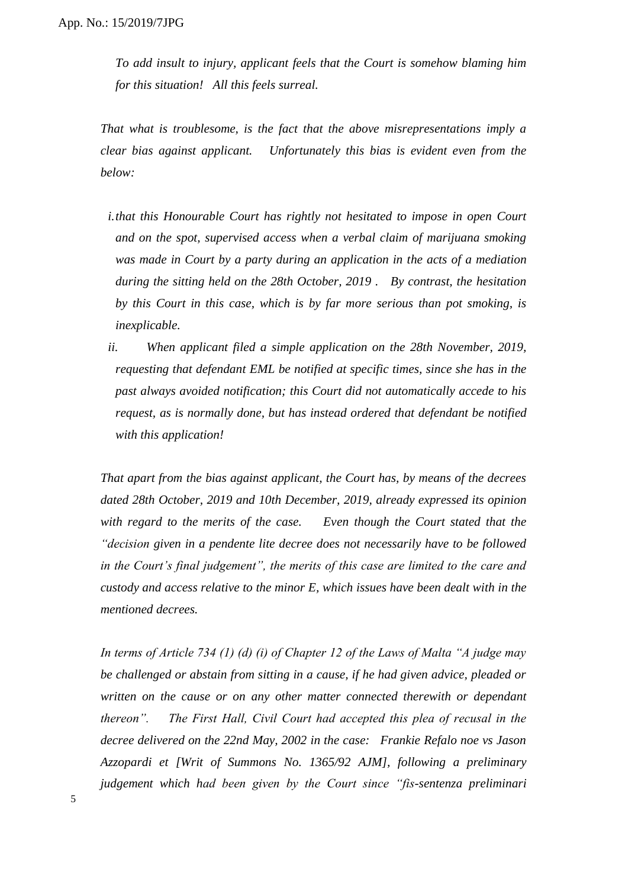*To add insult to injury, applicant feels that the Court is somehow blaming him for this situation! All this feels surreal.*

*That what is troublesome, is the fact that the above misrepresentations imply a clear bias against applicant. Unfortunately this bias is evident even from the below:*

- *i.that this Honourable Court has rightly not hesitated to impose in open Court and on the spot, supervised access when a verbal claim of marijuana smoking was made in Court by a party during an application in the acts of a mediation during the sitting held on the 28th October, 2019 . By contrast, the hesitation by this Court in this case, which is by far more serious than pot smoking, is inexplicable.*
- *ii. When applicant filed a simple application on the 28th November, 2019, requesting that defendant EML be notified at specific times, since she has in the past always avoided notification; this Court did not automatically accede to his request, as is normally done, but has instead ordered that defendant be notified with this application!*

*That apart from the bias against applicant, the Court has, by means of the decrees dated 28th October, 2019 and 10th December, 2019, already expressed its opinion with regard to the merits of the case. Even though the Court stated that the "decision given in a pendente lite decree does not necessarily have to be followed in the Court's final judgement", the merits of this case are limited to the care and custody and access relative to the minor E, which issues have been dealt with in the mentioned decrees.* 

*In terms of Article 734 (1) (d) (i) of Chapter 12 of the Laws of Malta "A judge may be challenged or abstain from sitting in a cause, if he had given advice, pleaded or written on the cause or on any other matter connected therewith or dependant thereon". The First Hall, Civil Court had accepted this plea of recusal in the decree delivered on the 22nd May, 2002 in the case: Frankie Refalo noe vs Jason Azzopardi et [Writ of Summons No. 1365/92 AJM], following a preliminary judgement which had been given by the Court since "fis-sentenza preliminari*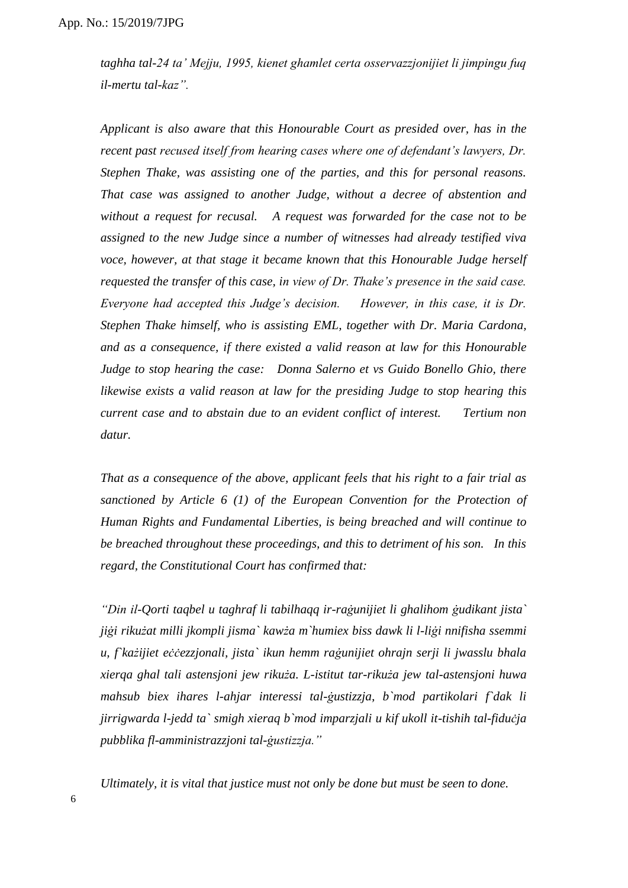*taghha tal-24 ta' Mejju, 1995, kienet ghamlet certa osservazzjonijiet li jimpingu fuq il-mertu tal-kaz".* 

*Applicant is also aware that this Honourable Court as presided over, has in the recent past recused itself from hearing cases where one of defendant's lawyers, Dr. Stephen Thake, was assisting one of the parties, and this for personal reasons. That case was assigned to another Judge, without a decree of abstention and without a request for recusal. A request was forwarded for the case not to be assigned to the new Judge since a number of witnesses had already testified viva voce, however, at that stage it became known that this Honourable Judge herself requested the transfer of this case, in view of Dr. Thake's presence in the said case. Everyone had accepted this Judge's decision. However, in this case, it is Dr. Stephen Thake himself, who is assisting EML, together with Dr. Maria Cardona, and as a consequence, if there existed a valid reason at law for this Honourable Judge to stop hearing the case: Donna Salerno et vs Guido Bonello Ghio, there likewise exists a valid reason at law for the presiding Judge to stop hearing this current case and to abstain due to an evident conflict of interest. Tertium non datur.* 

*That as a consequence of the above, applicant feels that his right to a fair trial as sanctioned by Article 6 (1) of the European Convention for the Protection of Human Rights and Fundamental Liberties, is being breached and will continue to be breached throughout these proceedings, and this to detriment of his son. In this regard, the Constitutional Court has confirmed that:*

*"Din il-Qorti taqbel u taghraf li tabilhaqq ir-raġunijiet li ghalihom ġudikant jista` jiġi rikużat milli jkompli jisma` kawża m`humiex biss dawk li l-liġi nnifisha ssemmi u, f`każijiet eċċezzjonali, jista` ikun hemm raġunijiet ohrajn serji li jwasslu bhala xierqa ghal tali astensjoni jew rikuża. L-istitut tar-rikuża jew tal-astensjoni huwa mahsub biex ihares l-ahjar interessi tal-ġustizzja, b`mod partikolari f`dak li jirrigwarda l-jedd ta` smigh xieraq b`mod imparzjali u kif ukoll it-tishih tal-fiduċja pubblika fl-amministrazzjoni tal-ġustizzja."* 

*Ultimately, it is vital that justice must not only be done but must be seen to done.*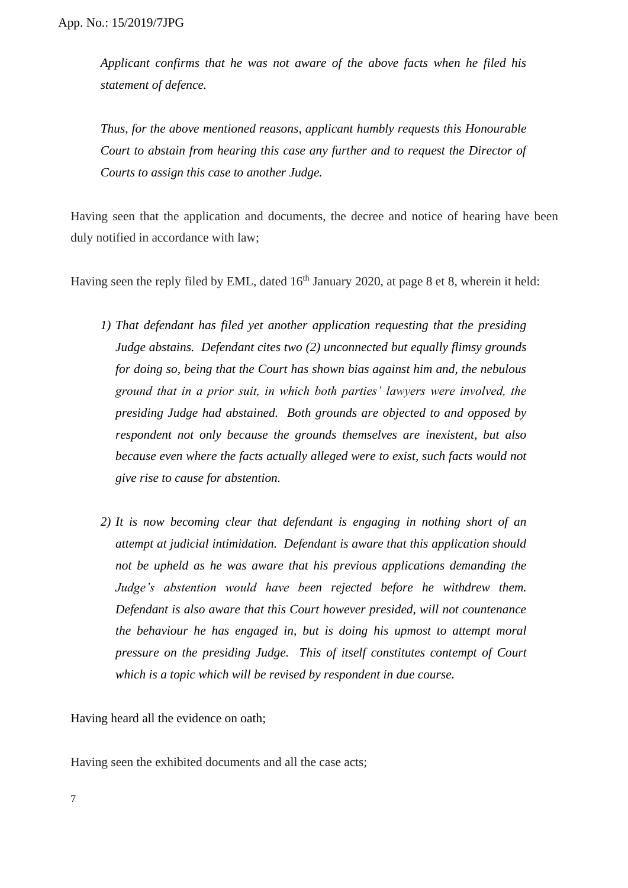*Applicant confirms that he was not aware of the above facts when he filed his statement of defence.*

*Thus, for the above mentioned reasons, applicant humbly requests this Honourable Court to abstain from hearing this case any further and to request the Director of Courts to assign this case to another Judge.*

Having seen that the application and documents, the decree and notice of hearing have been duly notified in accordance with law;

Having seen the reply filed by EML, dated  $16<sup>th</sup>$  January 2020, at page 8 et 8, wherein it held:

- *1) That defendant has filed yet another application requesting that the presiding Judge abstains. Defendant cites two (2) unconnected but equally flimsy grounds for doing so, being that the Court has shown bias against him and, the nebulous ground that in a prior suit, in which both parties' lawyers were involved, the presiding Judge had abstained. Both grounds are objected to and opposed by respondent not only because the grounds themselves are inexistent, but also because even where the facts actually alleged were to exist, such facts would not give rise to cause for abstention.*
- *2) It is now becoming clear that defendant is engaging in nothing short of an attempt at judicial intimidation. Defendant is aware that this application should not be upheld as he was aware that his previous applications demanding the Judge's abstention would have been rejected before he withdrew them. Defendant is also aware that this Court however presided, will not countenance the behaviour he has engaged in, but is doing his upmost to attempt moral pressure on the presiding Judge. This of itself constitutes contempt of Court which is a topic which will be revised by respondent in due course.*

Having heard all the evidence on oath;

Having seen the exhibited documents and all the case acts;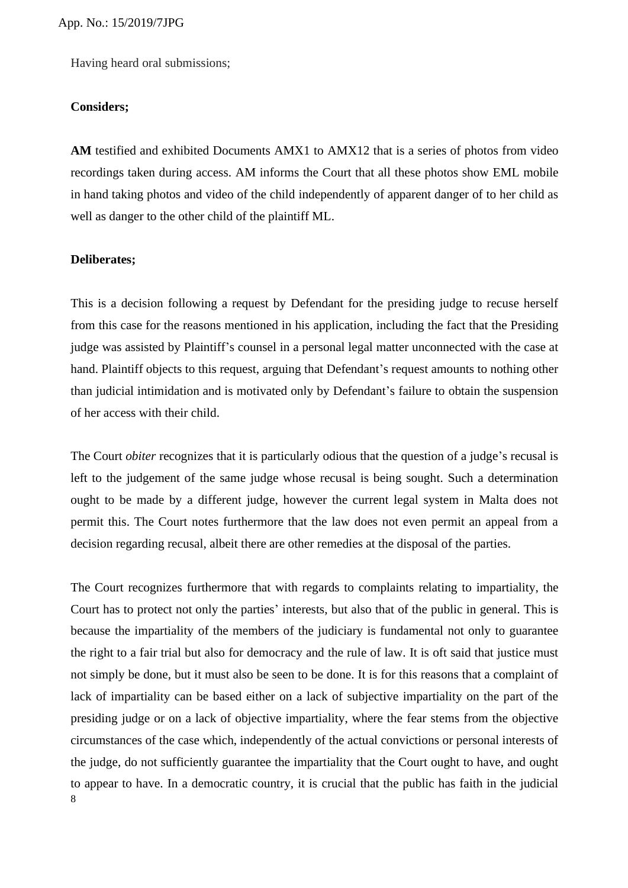Having heard oral submissions;

### **Considers;**

**AM** testified and exhibited Documents AMX1 to AMX12 that is a series of photos from video recordings taken during access. AM informs the Court that all these photos show EML mobile in hand taking photos and video of the child independently of apparent danger of to her child as well as danger to the other child of the plaintiff ML.

### **Deliberates;**

This is a decision following a request by Defendant for the presiding judge to recuse herself from this case for the reasons mentioned in his application, including the fact that the Presiding judge was assisted by Plaintiff's counsel in a personal legal matter unconnected with the case at hand. Plaintiff objects to this request, arguing that Defendant's request amounts to nothing other than judicial intimidation and is motivated only by Defendant's failure to obtain the suspension of her access with their child.

The Court *obiter* recognizes that it is particularly odious that the question of a judge's recusal is left to the judgement of the same judge whose recusal is being sought. Such a determination ought to be made by a different judge, however the current legal system in Malta does not permit this. The Court notes furthermore that the law does not even permit an appeal from a decision regarding recusal, albeit there are other remedies at the disposal of the parties.

8 The Court recognizes furthermore that with regards to complaints relating to impartiality, the Court has to protect not only the parties' interests, but also that of the public in general. This is because the impartiality of the members of the judiciary is fundamental not only to guarantee the right to a fair trial but also for democracy and the rule of law. It is oft said that justice must not simply be done, but it must also be seen to be done. It is for this reasons that a complaint of lack of impartiality can be based either on a lack of subjective impartiality on the part of the presiding judge or on a lack of objective impartiality, where the fear stems from the objective circumstances of the case which, independently of the actual convictions or personal interests of the judge, do not sufficiently guarantee the impartiality that the Court ought to have, and ought to appear to have. In a democratic country, it is crucial that the public has faith in the judicial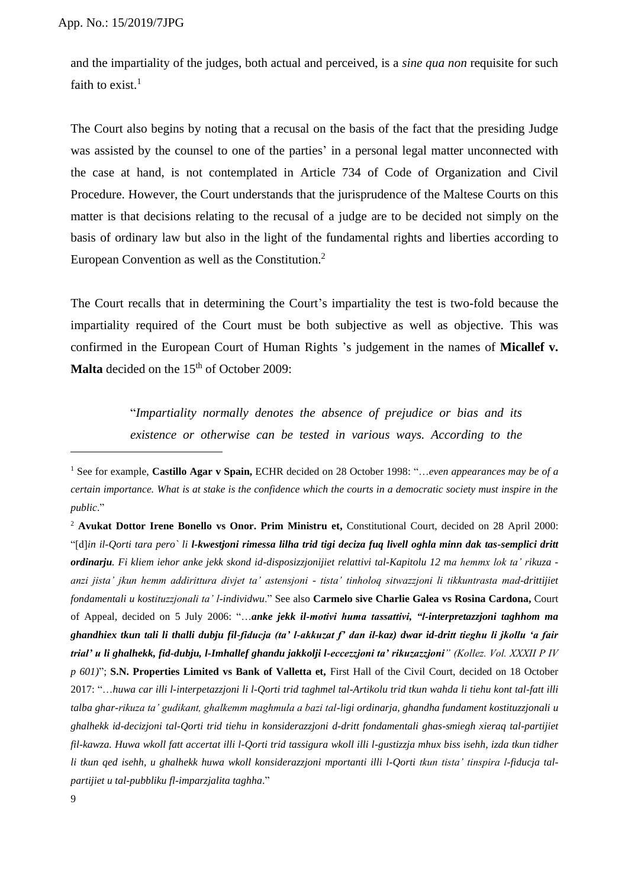and the impartiality of the judges, both actual and perceived, is a *sine qua non* requisite for such faith to exist. $1$ 

The Court also begins by noting that a recusal on the basis of the fact that the presiding Judge was assisted by the counsel to one of the parties' in a personal legal matter unconnected with the case at hand, is not contemplated in Article 734 of Code of Organization and Civil Procedure. However, the Court understands that the jurisprudence of the Maltese Courts on this matter is that decisions relating to the recusal of a judge are to be decided not simply on the basis of ordinary law but also in the light of the fundamental rights and liberties according to European Convention as well as the Constitution.<sup>2</sup>

The Court recalls that in determining the Court's impartiality the test is two-fold because the impartiality required of the Court must be both subjective as well as objective. This was confirmed in the European Court of Human Rights 's judgement in the names of **Micallef v.**  Malta decided on the 15<sup>th</sup> of October 2009:

> "*Impartiality normally denotes the absence of prejudice or bias and its existence or otherwise can be tested in various ways. According to the*

<sup>1</sup> See for example, **Castillo Agar v Spain,** ECHR decided on 28 October 1998: "…*even appearances may be of a certain importance. What is at stake is the confidence which the courts in a democratic society must inspire in the public*."

<sup>&</sup>lt;sup>2</sup> **Avukat Dottor Irene Bonello vs Onor. Prim Ministru et, Constitutional Court, decided on 28 April 2000:** "[d]*in il-Qorti tara pero` li l-kwestjoni rimessa lilha trid tigi deciza fuq livell oghla minn dak tas-semplici dritt ordinarju. Fi kliem iehor anke jekk skond id-disposizzjonijiet relattivi tal-Kapitolu 12 ma hemmx lok ta' rikuza anzi jista' jkun hemm addirittura divjet ta' astensjoni - tista' tinholoq sitwazzjoni li tikkuntrasta mad-drittijiet fondamentali u kostituzzjonali ta' l-individwu*." See also **Carmelo sive Charlie Galea vs Rosina Cardona,** Court of Appeal, decided on 5 July 2006: "…*anke jekk il-motivi huma tassattivi, "l-interpretazzjoni taghhom ma ghandhiex tkun tali li thalli dubju fil-fiducja (ta' l-akkuzat f' dan il-kaz) dwar id-dritt tieghu li jkollu 'a fair trial' u li ghalhekk, fid-dubju, l-Imhallef ghandu jakkolji l-eccezzjoni ta' rikuzazzjoni" (Kollez. Vol. XXXII P IV p 601)*"; **S.N. Properties Limited vs Bank of Valletta et,** First Hall of the Civil Court, decided on 18 October 2017: "…*huwa car illi l-interpetazzjoni li l-Qorti trid taghmel tal-Artikolu trid tkun wahda li tiehu kont tal-fatt illi talba ghar-rikuza ta' gudikant, ghalkemm maghmula a bazi tal-ligi ordinarja, ghandha fundament kostituzzjonali u ghalhekk id-decizjoni tal-Qorti trid tiehu in konsiderazzjoni d-dritt fondamentali ghas-smiegh xieraq tal-partijiet fil-kawza. Huwa wkoll fatt accertat illi l-Qorti trid tassigura wkoll illi l-gustizzja mhux biss isehh, izda tkun tidher li tkun qed isehh, u ghalhekk huwa wkoll konsiderazzjoni mportanti illi l-Qorti tkun tista' tinspira l-fiducja talpartijiet u tal-pubbliku fl-imparzjalita taghha*."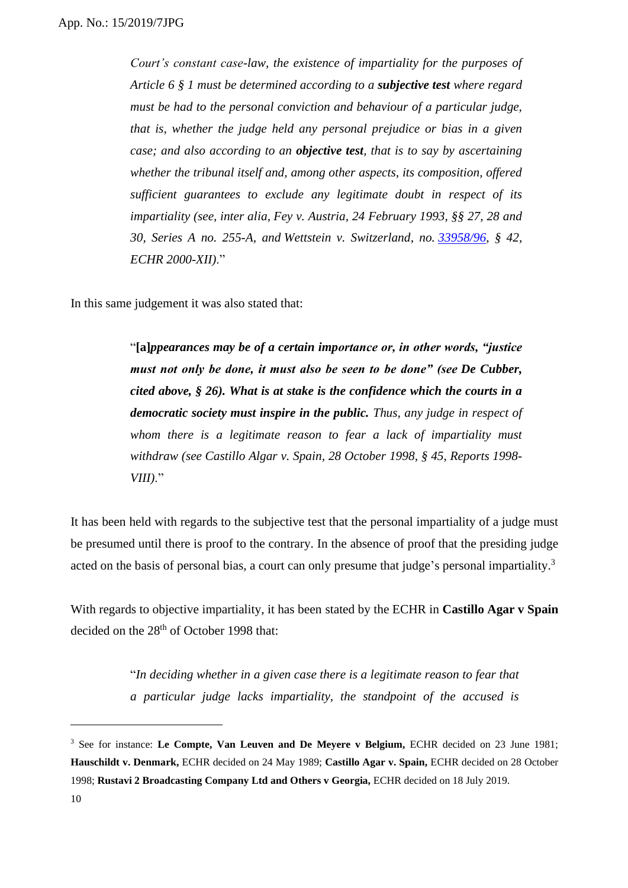*Court's constant case-law, the existence of impartiality for the purposes of Article 6 § 1 must be determined according to a subjective test where regard must be had to the personal conviction and behaviour of a particular judge, that is, whether the judge held any personal prejudice or bias in a given case; and also according to an objective test, that is to say by ascertaining whether the tribunal itself and, among other aspects, its composition, offered sufficient guarantees to exclude any legitimate doubt in respect of its impartiality (see, inter alia, Fey v. Austria, 24 February 1993, §§ 27, 28 and 30, Series A no. 255-A, and Wettstein v. Switzerland, no. [33958/96,](http://hudoc.echr.coe.int/eng#{"appno":["33958/96"]}) § 42, ECHR 2000-XII)*."

In this same judgement it was also stated that:

"**[a]***ppearances may be of a certain importance or, in other words, "justice must not only be done, it must also be seen to be done" (see De Cubber, cited above, § 26). What is at stake is the confidence which the courts in a democratic society must inspire in the public. Thus, any judge in respect of whom there is a legitimate reason to fear a lack of impartiality must withdraw (see Castillo Algar v. Spain, 28 October 1998, § 45, Reports 1998- VIII)*."

It has been held with regards to the subjective test that the personal impartiality of a judge must be presumed until there is proof to the contrary. In the absence of proof that the presiding judge acted on the basis of personal bias, a court can only presume that judge's personal impartiality.<sup>3</sup>

With regards to objective impartiality, it has been stated by the ECHR in **Castillo Agar v Spain**  decided on the 28<sup>th</sup> of October 1998 that:

> "*In deciding whether in a given case there is a legitimate reason to fear that a particular judge lacks impartiality, the standpoint of the accused is*

<sup>&</sup>lt;sup>3</sup> See for instance: Le Compte, Van Leuven and De Meyere v Belgium, ECHR decided on 23 June 1981; **Hauschildt v. Denmark,** ECHR decided on 24 May 1989; **Castillo Agar v. Spain,** ECHR decided on 28 October 1998; **Rustavi 2 Broadcasting Company Ltd and Others v Georgia,** ECHR decided on 18 July 2019.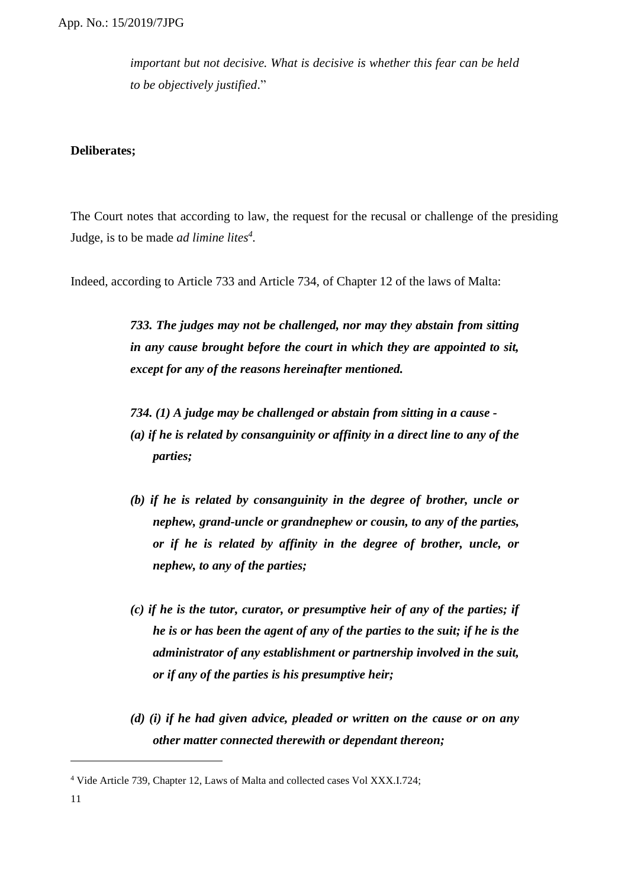*important but not decisive. What is decisive is whether this fear can be held to be objectively justified*."

### **Deliberates;**

The Court notes that according to law, the request for the recusal or challenge of the presiding Judge, is to be made *ad limine lites<sup>4</sup> .*

Indeed, according to Article 733 and Article 734, of Chapter 12 of the laws of Malta:

*733. The judges may not be challenged, nor may they abstain from sitting in any cause brought before the court in which they are appointed to sit, except for any of the reasons hereinafter mentioned.*

*734. (1) A judge may be challenged or abstain from sitting in a cause -*

- *(a) if he is related by consanguinity or affinity in a direct line to any of the parties;*
- *(b) if he is related by consanguinity in the degree of brother, uncle or nephew, grand-uncle or grandnephew or cousin, to any of the parties, or if he is related by affinity in the degree of brother, uncle, or nephew, to any of the parties;*
- *(c) if he is the tutor, curator, or presumptive heir of any of the parties; if he is or has been the agent of any of the parties to the suit; if he is the administrator of any establishment or partnership involved in the suit, or if any of the parties is his presumptive heir;*
- *(d) (i) if he had given advice, pleaded or written on the cause or on any other matter connected therewith or dependant thereon;*

<sup>4</sup> Vide Article 739, Chapter 12, Laws of Malta and collected cases Vol XXX.I.724;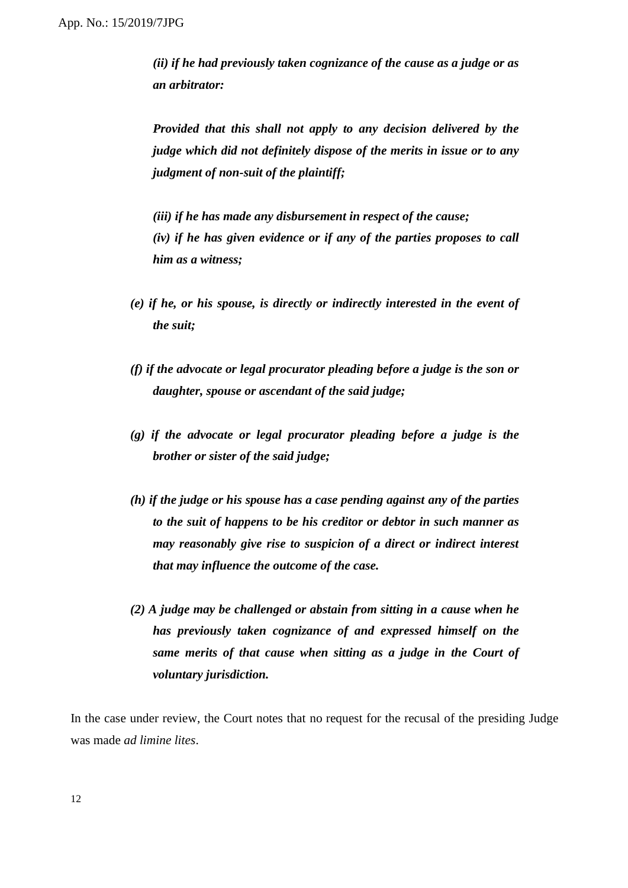*(ii) if he had previously taken cognizance of the cause as a judge or as an arbitrator:*

*Provided that this shall not apply to any decision delivered by the judge which did not definitely dispose of the merits in issue or to any judgment of non-suit of the plaintiff;*

*(iii) if he has made any disbursement in respect of the cause; (iv) if he has given evidence or if any of the parties proposes to call him as a witness;*

- *(e) if he, or his spouse, is directly or indirectly interested in the event of the suit;*
- *(f) if the advocate or legal procurator pleading before a judge is the son or daughter, spouse or ascendant of the said judge;*
- *(g) if the advocate or legal procurator pleading before a judge is the brother or sister of the said judge;*
- *(h) if the judge or his spouse has a case pending against any of the parties to the suit of happens to be his creditor or debtor in such manner as may reasonably give rise to suspicion of a direct or indirect interest that may influence the outcome of the case.*
- *(2) A judge may be challenged or abstain from sitting in a cause when he has previously taken cognizance of and expressed himself on the same merits of that cause when sitting as a judge in the Court of voluntary jurisdiction.*

In the case under review, the Court notes that no request for the recusal of the presiding Judge was made *ad limine lites*.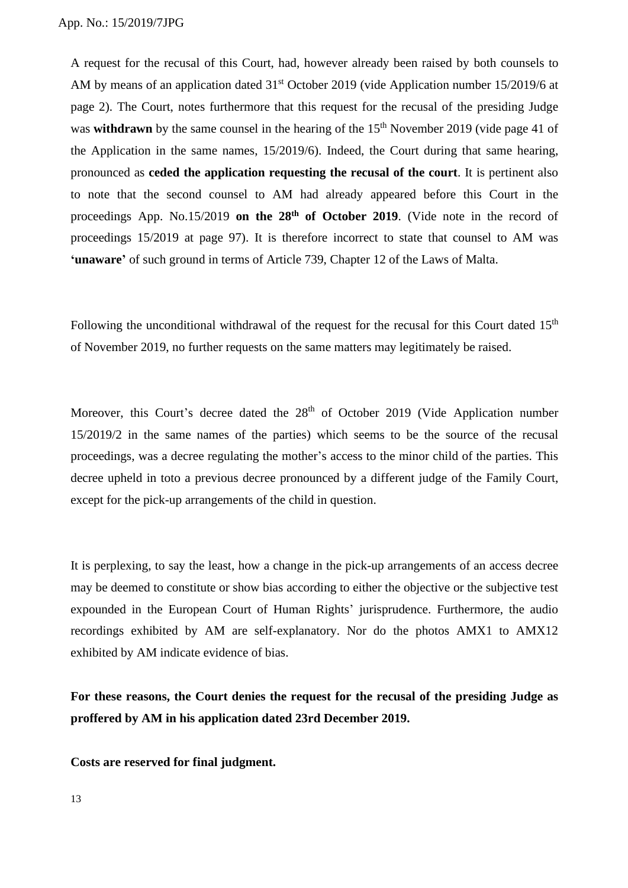A request for the recusal of this Court, had, however already been raised by both counsels to AM by means of an application dated 31<sup>st</sup> October 2019 (vide Application number 15/2019/6 at page 2). The Court, notes furthermore that this request for the recusal of the presiding Judge was **withdrawn** by the same counsel in the hearing of the 15<sup>th</sup> November 2019 (vide page 41 of the Application in the same names, 15/2019/6). Indeed, the Court during that same hearing, pronounced as **ceded the application requesting the recusal of the court**. It is pertinent also to note that the second counsel to AM had already appeared before this Court in the proceedings App. No.15/2019 **on the 28th of October 2019**. (Vide note in the record of proceedings 15/2019 at page 97). It is therefore incorrect to state that counsel to AM was **'unaware'** of such ground in terms of Article 739, Chapter 12 of the Laws of Malta.

Following the unconditional withdrawal of the request for the recusal for this Court dated  $15<sup>th</sup>$ of November 2019, no further requests on the same matters may legitimately be raised.

Moreover, this Court's decree dated the 28<sup>th</sup> of October 2019 (Vide Application number 15/2019/2 in the same names of the parties) which seems to be the source of the recusal proceedings, was a decree regulating the mother's access to the minor child of the parties. This decree upheld in toto a previous decree pronounced by a different judge of the Family Court, except for the pick-up arrangements of the child in question.

It is perplexing, to say the least, how a change in the pick-up arrangements of an access decree may be deemed to constitute or show bias according to either the objective or the subjective test expounded in the European Court of Human Rights' jurisprudence. Furthermore, the audio recordings exhibited by AM are self-explanatory. Nor do the photos AMX1 to AMX12 exhibited by AM indicate evidence of bias.

**For these reasons, the Court denies the request for the recusal of the presiding Judge as proffered by AM in his application dated 23rd December 2019.**

**Costs are reserved for final judgment.**